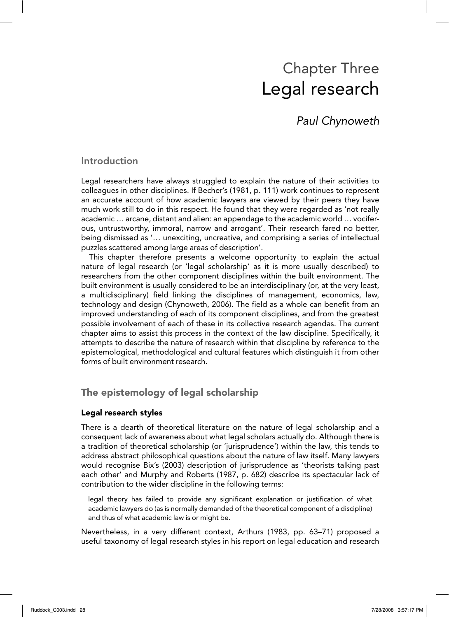# Chapter Three Legal research

Paul Chynoweth

# **Introduction**

Legal researchers have always struggled to explain the nature of their activities to colleagues in other disciplines. If Becher's (1981, p. 111) work continues to represent an accurate account of how academic lawyers are viewed by their peers they have much work still to do in this respect. He found that they were regarded as 'not really academic … arcane, distant and alien: an appendage to the academic world … vociferous, untrustworthy, immoral, narrow and arrogant'. Their research fared no better, being dismissed as '… unexciting, uncreative, and comprising a series of intellectual puzzles scattered among large areas of description'.

This chapter therefore presents a welcome opportunity to explain the actual nature of legal research (or 'legal scholarship' as it is more usually described) to researchers from the other component disciplines within the built environment. The built environment is usually considered to be an interdisciplinary (or, at the very least, a multidisciplinary) field linking the disciplines of management, economics, law, technology and design (Chynoweth, 2006). The field as a whole can benefit from an improved understanding of each of its component disciplines, and from the greatest possible involvement of each of these in its collective research agendas. The current chapter aims to assist this process in the context of the law discipline. Specifically, it attempts to describe the nature of research within that discipline by reference to the epistemological, methodological and cultural features which distinguish it from other forms of built environment research.

# **The epistemology of legal scholarship**

#### **Legal research styles**

There is a dearth of theoretical literature on the nature of legal scholarship and a consequent lack of awareness about what legal scholars actually do. Although there is a tradition of theoretical scholarship (or 'jurisprudence') within the law, this tends to address abstract philosophical questions about the nature of law itself. Many lawyers would recognise Bix's (2003) description of jurisprudence as 'theorists talking past each other' and Murphy and Roberts (1987, p. 682) describe its spectacular lack of contribution to the wider discipline in the following terms:

legal theory has failed to provide any significant explanation or justification of what academic lawyers do (as is normally demanded of the theoretical component of a discipline) and thus of what academic law is or might be.

Nevertheless, in a very different context, Arthurs (1983, pp. 63–71) proposed a useful taxonomy of legal research styles in his report on legal education and research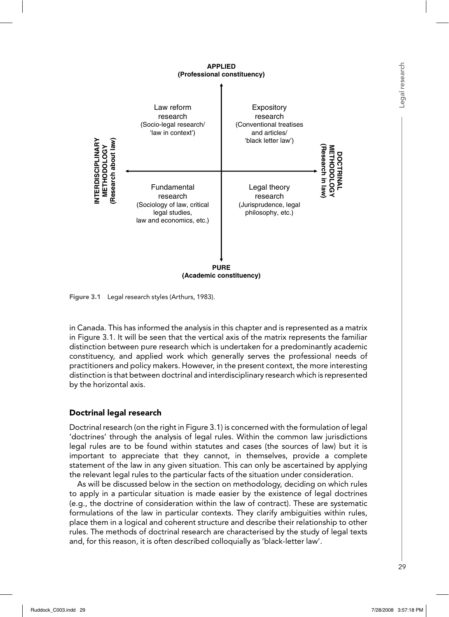

**Figure 3.1** Legal research styles (Arthurs, 1983).

in Canada. This has informed the analysis in this chapter and is represented as a matrix in Figure 3.1. It will be seen that the vertical axis of the matrix represents the familiar distinction between pure research which is undertaken for a predominantly academic constituency, and applied work which generally serves the professional needs of practitioners and policy makers. However, in the present context, the more interesting distinction is that between doctrinal and interdisciplinary research which is represented by the horizontal axis.

## **Doctrinal legal research**

Doctrinal research (on the right in Figure 3.1) is concerned with the formulation of legal 'doctrines' through the analysis of legal rules. Within the common law jurisdictions legal rules are to be found within statutes and cases (the sources of law) but it is important to appreciate that they cannot, in themselves, provide a complete statement of the law in any given situation. This can only be ascertained by applying the relevant legal rules to the particular facts of the situation under consideration.

As will be discussed below in the section on methodology, deciding on which rules to apply in a particular situation is made easier by the existence of legal doctrines (e.g., the doctrine of consideration within the law of contract). These are systematic formulations of the law in particular contexts. They clarify ambiguities within rules, place them in a logical and coherent structure and describe their relationship to other rules. The methods of doctrinal research are characterised by the study of legal texts and, for this reason, it is often described colloquially as 'black-letter law'.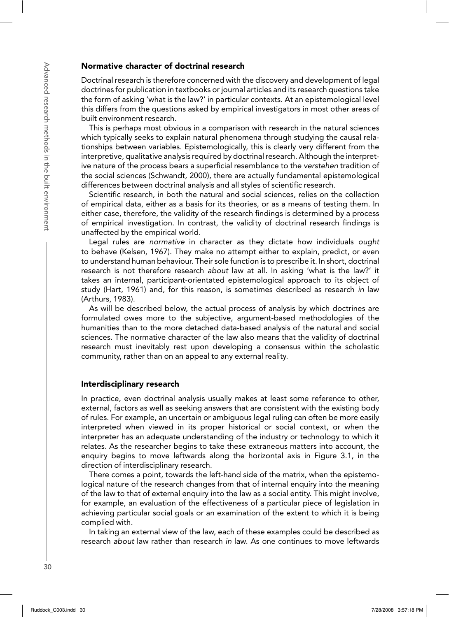#### **Normative character of doctrinal research**

Doctrinal research is therefore concerned with the discovery and development of legal doctrines for publication in textbooks or journal articles and its research questions take the form of asking 'what is the law?' in particular contexts. At an epistemological level this differs from the questions asked by empirical investigators in most other areas of built environment research.

This is perhaps most obvious in a comparison with research in the natural sciences which typically seeks to explain natural phenomena through studying the causal relationships between variables. Epistemologically, this is clearly very different from the interpretive, qualitative analysis required by doctrinal research. Although the interpretive nature of the process bears a superficial resemblance to the verstehen tradition of the social sciences (Schwandt, 2000), there are actually fundamental epistemological differences between doctrinal analysis and all styles of scientific research.

Scientific research, in both the natural and social sciences, relies on the collection of empirical data, either as a basis for its theories, or as a means of testing them. In either case, therefore, the validity of the research findings is determined by a process of empirical investigation. In contrast, the validity of doctrinal research findings is unaffected by the empirical world.

Legal rules are normative in character as they dictate how individuals ought to behave (Kelsen, 1967). They make no attempt either to explain, predict, or even to understand human behaviour. Their sole function is to prescribe it. In short, doctrinal research is not therefore research about law at all. In asking 'what is the law?' it takes an internal, participant-orientated epistemological approach to its object of study (Hart, 1961) and, for this reason, is sometimes described as research in law (Arthurs, 1983).

As will be described below, the actual process of analysis by which doctrines are formulated owes more to the subjective, argument-based methodologies of the humanities than to the more detached data-based analysis of the natural and social sciences. The normative character of the law also means that the validity of doctrinal research must inevitably rest upon developing a consensus within the scholastic community, rather than on an appeal to any external reality.

#### **Interdisciplinary research**

In practice, even doctrinal analysis usually makes at least some reference to other, external, factors as well as seeking answers that are consistent with the existing body of rules. For example, an uncertain or ambiguous legal ruling can often be more easily interpreted when viewed in its proper historical or social context, or when the interpreter has an adequate understanding of the industry or technology to which it relates. As the researcher begins to take these extraneous matters into account, the enquiry begins to move leftwards along the horizontal axis in Figure 3.1, in the direction of interdisciplinary research.

There comes a point, towards the left-hand side of the matrix, when the epistemological nature of the research changes from that of internal enquiry into the meaning of the law to that of external enquiry into the law as a social entity. This might involve, for example, an evaluation of the effectiveness of a particular piece of legislation in achieving particular social goals or an examination of the extent to which it is being complied with.

In taking an external view of the law, each of these examples could be described as research about law rather than research in law. As one continues to move leftwards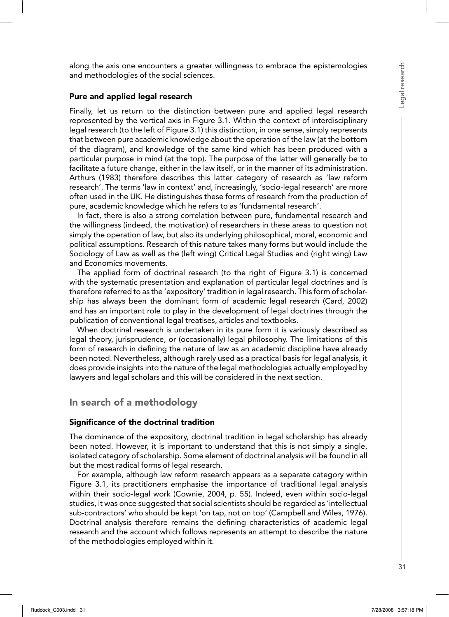along the axis one encounters a greater willingness to embrace the epistemologies and methodologies of the social sciences.

#### **Pure and applied legal research**

Finally, let us return to the distinction between pure and applied legal research represented by the vertical axis in Figure 3.1. Within the context of interdisciplinary legal research (to the left of Figure 3.1) this distinction, in one sense, simply represents that between pure academic knowledge about the operation of the law (at the bottom of the diagram), and knowledge of the same kind which has been produced with a particular purpose in mind (at the top). The purpose of the latter will generally be to facilitate a future change, either in the law itself, or in the manner of its administration. Arthurs (1983) therefore describes this latter category of research as 'law reform research'. The terms 'law in context' and, increasingly, 'socio-legal research' are more often used in the UK. He distinguishes these forms of research from the production of pure, academic knowledge which he refers to as 'fundamental research'.

In fact, there is also a strong correlation between pure, fundamental research and the willingness (indeed, the motivation) of researchers in these areas to question not simply the operation of law, but also its underlying philosophical, moral, economic and political assumptions. Research of this nature takes many forms but would include the Sociology of Law as well as the (left wing) Critical Legal Studies and (right wing) Law and Economics movements.

The applied form of doctrinal research (to the right of Figure 3.1) is concerned with the systematic presentation and explanation of particular legal doctrines and is therefore referred to as the 'expository' tradition in legal research. This form of scholarship has always been the dominant form of academic legal research (Card, 2002) and has an important role to play in the development of legal doctrines through the publication of conventional legal treatises, articles and textbooks.

When doctrinal research is undertaken in its pure form it is variously described as legal theory, jurisprudence, or (occasionally) legal philosophy. The limitations of this form of research in defining the nature of law as an academic discipline have already been noted. Nevertheless, although rarely used as a practical basis for legal analysis, it does provide insights into the nature of the legal methodologies actually employed by lawyers and legal scholars and this will be considered in the next section.

# **In search of a methodology**

#### **Significance of the doctrinal tradition**

The dominance of the expository, doctrinal tradition in legal scholarship has already been noted. However, it is important to understand that this is not simply a single, isolated category of scholarship. Some element of doctrinal analysis will be found in all but the most radical forms of legal research.

For example, although law reform research appears as a separate category within Figure 3.1, its practitioners emphasise the importance of traditional legal analysis within their socio-legal work (Cownie, 2004, p. 55). Indeed, even within socio-legal studies, it was once suggested that social scientists should be regarded as 'intellectual sub-contractors' who should be kept 'on tap, not on top' (Campbell and Wiles, 1976). Doctrinal analysis therefore remains the defining characteristics of academic legal research and the account which follows represents an attempt to describe the nature of the methodologies employed within it.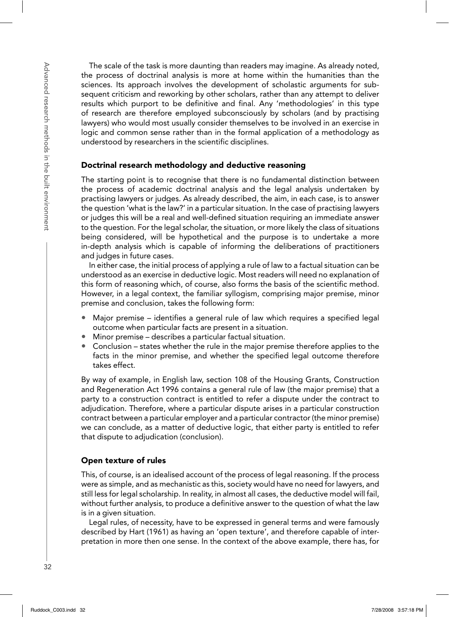The scale of the task is more daunting than readers may imagine. As already noted, the process of doctrinal analysis is more at home within the humanities than the sciences. Its approach involves the development of scholastic arguments for subsequent criticism and reworking by other scholars, rather than any attempt to deliver results which purport to be definitive and final. Any 'methodologies' in this type of research are therefore employed subconsciously by scholars (and by practising lawyers) who would most usually consider themselves to be involved in an exercise in logic and common sense rather than in the formal application of a methodology as understood by researchers in the scientific disciplines.

## **Doctrinal research methodology and deductive reasoning**

The starting point is to recognise that there is no fundamental distinction between the process of academic doctrinal analysis and the legal analysis undertaken by practising lawyers or judges. As already described, the aim, in each case, is to answer the question 'what is the law?' in a particular situation. In the case of practising lawyers or judges this will be a real and well-defined situation requiring an immediate answer to the question. For the legal scholar, the situation, or more likely the class of situations being considered, will be hypothetical and the purpose is to undertake a more in-depth analysis which is capable of informing the deliberations of practitioners and judges in future cases.

In either case, the initial process of applying a rule of law to a factual situation can be understood as an exercise in deductive logic. Most readers will need no explanation of this form of reasoning which, of course, also forms the basis of the scientific method. However, in a legal context, the familiar syllogism, comprising major premise, minor premise and conclusion, takes the following form:

- Major premise identifies a general rule of law which requires a specified legal outcome when particular facts are present in a situation.
- Minor premise describes a particular factual situation.
- Conclusion states whether the rule in the major premise therefore applies to the facts in the minor premise, and whether the specified legal outcome therefore takes effect.

By way of example, in English law, section 108 of the Housing Grants, Construction and Regeneration Act 1996 contains a general rule of law (the major premise) that a party to a construction contract is entitled to refer a dispute under the contract to adjudication. Therefore, where a particular dispute arises in a particular construction contract between a particular employer and a particular contractor (the minor premise) we can conclude, as a matter of deductive logic, that either party is entitled to refer that dispute to adjudication (conclusion).

## **Open texture of rules**

This, of course, is an idealised account of the process of legal reasoning. If the process were as simple, and as mechanistic as this, society would have no need for lawyers, and still less for legal scholarship. In reality, in almost all cases, the deductive model will fail, without further analysis, to produce a definitive answer to the question of what the law is in a given situation.

Legal rules, of necessity, have to be expressed in general terms and were famously described by Hart (1961) as having an 'open texture', and therefore capable of interpretation in more then one sense. In the context of the above example, there has, for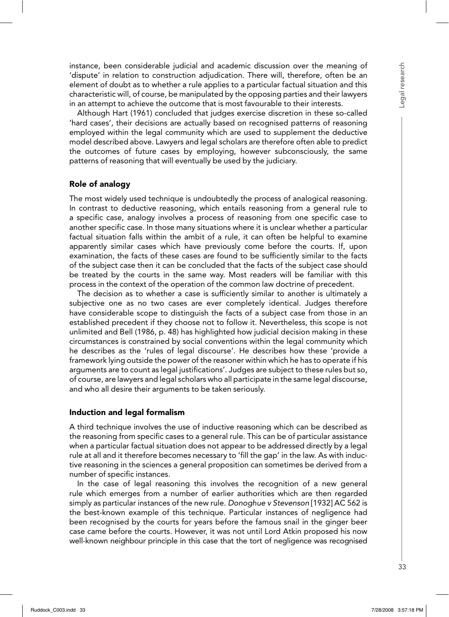instance, been considerable judicial and academic discussion over the meaning of 'dispute' in relation to construction adjudication. There will, therefore, often be an element of doubt as to whether a rule applies to a particular factual situation and this characteristic will, of course, be manipulated by the opposing parties and their lawyers in an attempt to achieve the outcome that is most favourable to their interests.

Although Hart (1961) concluded that judges exercise discretion in these so-called 'hard cases', their decisions are actually based on recognised patterns of reasoning employed within the legal community which are used to supplement the deductive model described above. Lawyers and legal scholars are therefore often able to predict the outcomes of future cases by employing, however subconsciously, the same patterns of reasoning that will eventually be used by the judiciary.

#### **Role of analogy**

The most widely used technique is undoubtedly the process of analogical reasoning. In contrast to deductive reasoning, which entails reasoning from a general rule to a specific case, analogy involves a process of reasoning from one specific case to another specific case. In those many situations where it is unclear whether a particular factual situation falls within the ambit of a rule, it can often be helpful to examine apparently similar cases which have previously come before the courts. If, upon examination, the facts of these cases are found to be sufficiently similar to the facts of the subject case then it can be concluded that the facts of the subject case should be treated by the courts in the same way. Most readers will be familiar with this process in the context of the operation of the common law doctrine of precedent.

The decision as to whether a case is sufficiently similar to another is ultimately a subjective one as no two cases are ever completely identical. Judges therefore have considerable scope to distinguish the facts of a subject case from those in an established precedent if they choose not to follow it. Nevertheless, this scope is not unlimited and Bell (1986, p. 48) has highlighted how judicial decision making in these circumstances is constrained by social conventions within the legal community which he describes as the 'rules of legal discourse'. He describes how these 'provide a framework lying outside the power of the reasoner within which he has to operate if his arguments are to count as legal justifications'. Judges are subject to these rules but so, of course, are lawyers and legal scholars who all participate in the same legal discourse, and who all desire their arguments to be taken seriously.

#### **Induction and legal formalism**

A third technique involves the use of inductive reasoning which can be described as the reasoning from specific cases to a general rule. This can be of particular assistance when a particular factual situation does not appear to be addressed directly by a legal rule at all and it therefore becomes necessary to 'fill the gap' in the law. As with inductive reasoning in the sciences a general proposition can sometimes be derived from a number of specific instances.

In the case of legal reasoning this involves the recognition of a new general rule which emerges from a number of earlier authorities which are then regarded simply as particular instances of the new rule. Donoghue v Stevenson [1932] AC 562 is the best-known example of this technique. Particular instances of negligence had been recognised by the courts for years before the famous snail in the ginger beer case came before the courts. However, it was not until Lord Atkin proposed his now well-known neighbour principle in this case that the tort of negligence was recognised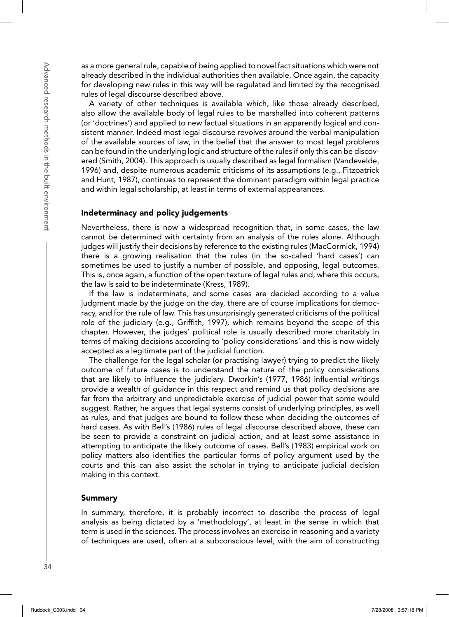as a more general rule, capable of being applied to novel fact situations which were not already described in the individual authorities then available. Once again, the capacity for developing new rules in this way will be regulated and limited by the recognised rules of legal discourse described above.

A variety of other techniques is available which, like those already described, also allow the available body of legal rules to be marshalled into coherent patterns (or 'doctrines') and applied to new factual situations in an apparently logical and consistent manner. Indeed most legal discourse revolves around the verbal manipulation of the available sources of law, in the belief that the answer to most legal problems can be found in the underlying logic and structure of the rules if only this can be discovered (Smith, 2004). This approach is usually described as legal formalism (Vandevelde, 1996) and, despite numerous academic criticisms of its assumptions (e.g., Fitzpatrick and Hunt, 1987), continues to represent the dominant paradigm within legal practice and within legal scholarship, at least in terms of external appearances.

#### **Indeterminacy and policy judgements**

Nevertheless, there is now a widespread recognition that, in some cases, the law cannot be determined with certainty from an analysis of the rules alone. Although judges will justify their decisions by reference to the existing rules (MacCormick, 1994) there is a growing realisation that the rules (in the so-called 'hard cases') can sometimes be used to justify a number of possible, and opposing, legal outcomes. This is, once again, a function of the open texture of legal rules and, where this occurs, the law is said to be indeterminate (Kress, 1989).

If the law is indeterminate, and some cases are decided according to a value judgment made by the judge on the day, there are of course implications for democracy, and for the rule of law. This has unsurprisingly generated criticisms of the political role of the judiciary (e.g., Griffith, 1997), which remains beyond the scope of this chapter. However, the judges' political role is usually described more charitably in terms of making decisions according to 'policy considerations' and this is now widely accepted as a legitimate part of the judicial function.

The challenge for the legal scholar (or practising lawyer) trying to predict the likely outcome of future cases is to understand the nature of the policy considerations that are likely to influence the judiciary. Dworkin's (1977, 1986) influential writings provide a wealth of guidance in this respect and remind us that policy decisions are far from the arbitrary and unpredictable exercise of judicial power that some would suggest. Rather, he argues that legal systems consist of underlying principles, as well as rules, and that judges are bound to follow these when deciding the outcomes of hard cases. As with Bell's (1986) rules of legal discourse described above, these can be seen to provide a constraint on judicial action, and at least some assistance in attempting to anticipate the likely outcome of cases. Bell's (1983) empirical work on policy matters also identifies the particular forms of policy argument used by the courts and this can also assist the scholar in trying to anticipate judicial decision making in this context.

#### **Summary**

In summary, therefore, it is probably incorrect to describe the process of legal analysis as being dictated by a 'methodology', at least in the sense in which that term is used in the sciences. The process involves an exercise in reasoning and a variety of techniques are used, often at a subconscious level, with the aim of constructing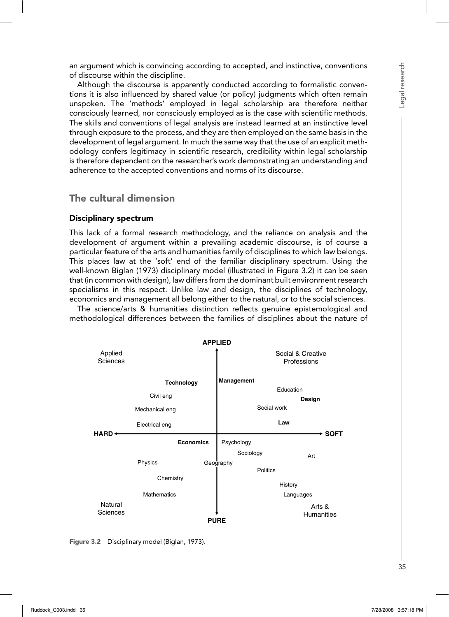an argument which is convincing according to accepted, and instinctive, conventions of discourse within the discipline.

Although the discourse is apparently conducted according to formalistic conventions it is also influenced by shared value (or policy) judgments which often remain unspoken. The 'methods' employed in legal scholarship are therefore neither consciously learned, nor consciously employed as is the case with scientific methods. The skills and conventions of legal analysis are instead learned at an instinctive level through exposure to the process, and they are then employed on the same basis in the development of legal argument. In much the same way that the use of an explicit methodology confers legitimacy in scientific research, credibility within legal scholarship is therefore dependent on the researcher's work demonstrating an understanding and adherence to the accepted conventions and norms of its discourse.

# **The cultural dimension**

#### **Disciplinary spectrum**

This lack of a formal research methodology, and the reliance on analysis and the development of argument within a prevailing academic discourse, is of course a particular feature of the arts and humanities family of disciplines to which law belongs. This places law at the 'soft' end of the familiar disciplinary spectrum. Using the well-known Biglan (1973) disciplinary model (illustrated in Figure 3.2) it can be seen that (in common with design), law differs from the dominant built environment research specialisms in this respect. Unlike law and design, the disciplines of technology, economics and management all belong either to the natural, or to the social sciences.

The science/arts & humanities distinction reflects genuine epistemological and methodological differences between the families of disciplines about the nature of



**Figure 3.2** Disciplinary model (Biglan, 1973).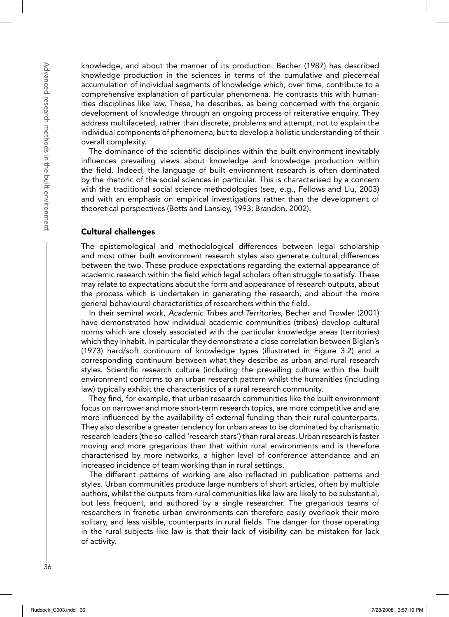knowledge, and about the manner of its production. Becher (1987) has described knowledge production in the sciences in terms of the cumulative and piecemeal accumulation of individual segments of knowledge which, over time, contribute to a comprehensive explanation of particular phenomena. He contrasts this with humanities disciplines like law. These, he describes, as being concerned with the organic development of knowledge through an ongoing process of reiterative enquiry. They address multifaceted, rather than discrete, problems and attempt, not to explain the individual components of phenomena, but to develop a holistic understanding of their overall complexity.

The dominance of the scientific disciplines within the built environment inevitably influences prevailing views about knowledge and knowledge production within the field. Indeed, the language of built environment research is often dominated by the rhetoric of the social sciences in particular. This is characterised by a concern with the traditional social science methodologies (see, e.g., Fellows and Liu, 2003) and with an emphasis on empirical investigations rather than the development of theoretical perspectives (Betts and Lansley, 1993; Brandon, 2002).

#### **Cultural challenges**

The epistemological and methodological differences between legal scholarship and most other built environment research styles also generate cultural differences between the two. These produce expectations regarding the external appearance of academic research within the field which legal scholars often struggle to satisfy. These may relate to expectations about the form and appearance of research outputs, about the process which is undertaken in generating the research, and about the more general behavioural characteristics of researchers within the field.

In their seminal work, Academic Tribes and Territories, Becher and Trowler (2001) have demonstrated how individual academic communities (tribes) develop cultural norms which are closely associated with the particular knowledge areas (territories) which they inhabit. In particular they demonstrate a close correlation between Biglan's (1973) hard/soft continuum of knowledge types (illustrated in Figure 3.2) and a corresponding continuum between what they describe as urban and rural research styles. Scientific research culture (including the prevailing culture within the built environment) conforms to an urban research pattern whilst the humanities (including law) typically exhibit the characteristics of a rural research community.

They find, for example, that urban research communities like the built environment focus on narrower and more short-term research topics, are more competitive and are more influenced by the availability of external funding than their rural counterparts. They also describe a greater tendency for urban areas to be dominated by charismatic research leaders (the so-called 'research stars') than rural areas. Urban research is faster moving and more gregarious than that within rural environments and is therefore characterised by more networks, a higher level of conference attendance and an increased incidence of team working than in rural settings.

The different patterns of working are also reflected in publication patterns and styles. Urban communities produce large numbers of short articles, often by multiple authors, whilst the outputs from rural communities like law are likely to be substantial, but less frequent, and authored by a single researcher. The gregarious teams of researchers in frenetic urban environments can therefore easily overlook their more solitary, and less visible, counterparts in rural fields. The danger for those operating in the rural subjects like law is that their lack of visibility can be mistaken for lack of activity.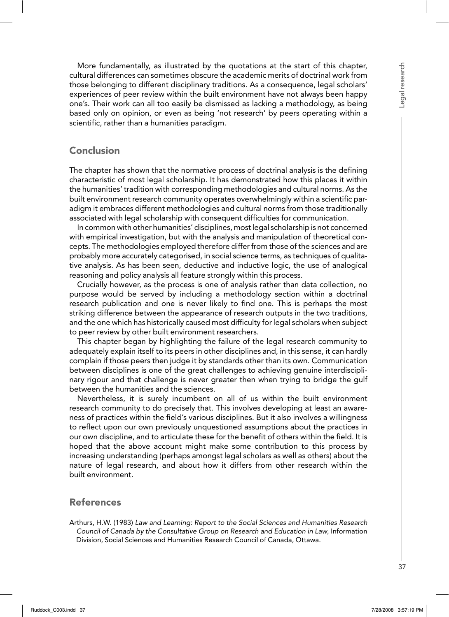More fundamentally, as illustrated by the quotations at the start of this chapter, cultural differences can sometimes obscure the academic merits of doctrinal work from those belonging to different disciplinary traditions. As a consequence, legal scholars' experiences of peer review within the built environment have not always been happy one's. Their work can all too easily be dismissed as lacking a methodology, as being based only on opinion, or even as being 'not research' by peers operating within a scientific, rather than a humanities paradigm.

# **Conclusion**

The chapter has shown that the normative process of doctrinal analysis is the defining characteristic of most legal scholarship. It has demonstrated how this places it within the humanities' tradition with corresponding methodologies and cultural norms. As the built environment research community operates overwhelmingly within a scientific paradigm it embraces different methodologies and cultural norms from those traditionally associated with legal scholarship with consequent difficulties for communication.

In common with other humanities' disciplines, most legal scholarship is not concerned with empirical investigation, but with the analysis and manipulation of theoretical concepts. The methodologies employed therefore differ from those of the sciences and are probably more accurately categorised, in social science terms, as techniques of qualitative analysis. As has been seen, deductive and inductive logic, the use of analogical reasoning and policy analysis all feature strongly within this process.

Crucially however, as the process is one of analysis rather than data collection, no purpose would be served by including a methodology section within a doctrinal research publication and one is never likely to find one. This is perhaps the most striking difference between the appearance of research outputs in the two traditions, and the one which has historically caused most difficulty for legal scholars when subject to peer review by other built environment researchers.

This chapter began by highlighting the failure of the legal research community to adequately explain itself to its peers in other disciplines and, in this sense, it can hardly complain if those peers then judge it by standards other than its own. Communication between disciplines is one of the great challenges to achieving genuine interdisciplinary rigour and that challenge is never greater then when trying to bridge the gulf between the humanities and the sciences.

Nevertheless, it is surely incumbent on all of us within the built environment research community to do precisely that. This involves developing at least an awareness of practices within the field's various disciplines. But it also involves a willingness to reflect upon our own previously unquestioned assumptions about the practices in our own discipline, and to articulate these for the benefit of others within the field. It is hoped that the above account might make some contribution to this process by increasing understanding (perhaps amongst legal scholars as well as others) about the nature of legal research, and about how it differs from other research within the built environment.

# **References**

Arthurs, H.W. (1983) Law and Learning: Report to the Social Sciences and Humanities Research Council of Canada by the Consultative Group on Research and Education in Law, Information Division, Social Sciences and Humanities Research Council of Canada, Ottawa.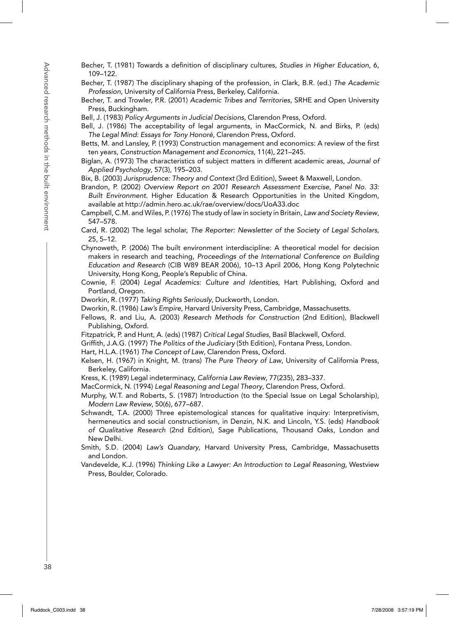- Advanced research methods in the built environment Advanced research methods in the built environment
- Becher, T. (1981) Towards a definition of disciplinary cultures, Studies in Higher Education, 6, 109–122.
- Becher, T. (1987) The disciplinary shaping of the profession, in Clark, B.R. (ed.) The Academic Profession, University of California Press, Berkeley, California.
- Becher, T. and Trowler, P.R. (2001) Academic Tribes and Territories, SRHE and Open University Press, Buckingham.
- Bell, J. (1983) Policy Arguments in Judicial Decisions, Clarendon Press, Oxford.
- Bell, J. (1986) The acceptability of legal arguments, in MacCormick, N. and Birks, P. (eds) The Legal Mind: Essays for Tony Honoré, Clarendon Press, Oxford.
- Betts, M. and Lansley, P. (1993) Construction management and economics: A review of the first ten years, Construction Management and Economics, 11(4), 221–245.
- Biglan, A. (1973) The characteristics of subject matters in different academic areas, Journal of Applied Psychology, 57(3), 195–203.
- Bix, B. (2003) Jurisprudence: Theory and Context (3rd Edition), Sweet & Maxwell, London.
- Brandon, P. (2002) Overview Report on 2001 Research Assessment Exercise, Panel No. 33: Built Environment. Higher Education & Research Opportunities in the United Kingdom, available at http://admin.hero.ac.uk/rae/overview/docs/UoA33.doc
- Campbell, C.M. and Wiles, P. (1976) The study of law in society in Britain, Law and Society Review, 547–578.
- Card, R. (2002) The legal scholar, The Reporter: Newsletter of the Society of Legal Scholars, 25, 5–12.
- Chynoweth, P. (2006) The built environment interdiscipline: A theoretical model for decision makers in research and teaching, Proceedings of the International Conference on Building Education and Research (CIB W89 BEAR 2006), 10–13 April 2006, Hong Kong Polytechnic University, Hong Kong, People's Republic of China.
- Cownie, F. (2004) Legal Academics: Culture and Identities, Hart Publishing, Oxford and Portland, Oregon.
- Dworkin, R. (1977) Taking Rights Seriously, Duckworth, London.
- Dworkin, R. (1986) Law's Empire, Harvard University Press, Cambridge, Massachusetts.
- Fellows, R. and Liu, A. (2003) Research Methods for Construction (2nd Edition), Blackwell Publishing, Oxford.
- Fitzpatrick, P. and Hunt, A. (eds) (1987) Critical Legal Studies, Basil Blackwell, Oxford.
- Griffith, J.A.G. (1997) The Politics of the Judiciary (5th Edition), Fontana Press, London.
- Hart, H.L.A. (1961) The Concept of Law, Clarendon Press, Oxford.
- Kelsen, H. (1967) in Knight, M. (trans) The Pure Theory of Law, University of California Press, Berkeley, California.
- Kress, K. (1989) Legal indeterminacy, California Law Review, 77(235), 283–337.
- MacCormick, N. (1994) Legal Reasoning and Legal Theory, Clarendon Press, Oxford.
- Murphy, W.T. and Roberts, S. (1987) Introduction (to the Special Issue on Legal Scholarship), Modern Law Review, 50(6), 677–687.
- Schwandt, T.A. (2000) Three epistemological stances for qualitative inquiry: Interpretivism, hermeneutics and social constructionism, in Denzin, N.K. and Lincoln, Y.S. (eds) Handbook of Qualitative Research (2nd Edition), Sage Publications, Thousand Oaks, London and New Delhi.
- Smith, S.D. (2004) Law's Quandary, Harvard University Press, Cambridge, Massachusetts and London.
- Vandevelde, K.J. (1996) Thinking Like a Lawyer: An Introduction to Legal Reasoning, Westview Press, Boulder, Colorado.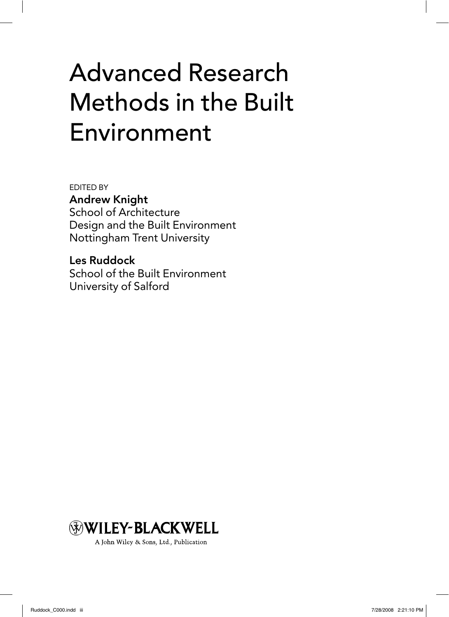# Advanced Research Methods in the Built Environment

EDITED BY **Andrew Knight** School of Architecture Design and the Built Environment Nottingham Trent University

**Les Ruddock** School of the Built Environment University of Salford

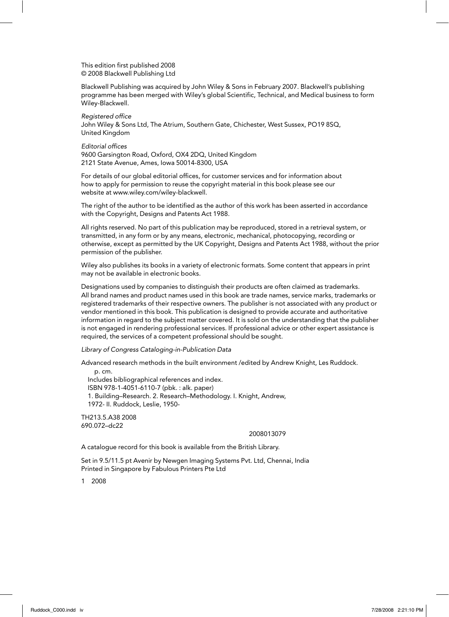This edition first published 2008 © 2008 Blackwell Publishing Ltd

Blackwell Publishing was acquired by John Wiley & Sons in February 2007. Blackwell's publishing programme has been merged with Wiley's global Scientific, Technical, and Medical business to form Wiley-Blackwell.

Registered office John Wiley & Sons Ltd, The Atrium, Southern Gate, Chichester, West Sussex, PO19 8SQ, United Kingdom

Editorial offices 9600 Garsington Road, Oxford, OX4 2DQ, United Kingdom 2121 State Avenue, Ames, Iowa 50014-8300, USA

For details of our global editorial offices, for customer services and for information about how to apply for permission to reuse the copyright material in this book please see our website at www.wiley.com/wiley-blackwell.

The right of the author to be identified as the author of this work has been asserted in accordance with the Copyright, Designs and Patents Act 1988.

All rights reserved. No part of this publication may be reproduced, stored in a retrieval system, or transmitted, in any form or by any means, electronic, mechanical, photocopying, recording or otherwise, except as permitted by the UK Copyright, Designs and Patents Act 1988, without the prior permission of the publisher.

Wiley also publishes its books in a variety of electronic formats. Some content that appears in print may not be available in electronic books.

Designations used by companies to distinguish their products are often claimed as trademarks. All brand names and product names used in this book are trade names, service marks, trademarks or registered trademarks of their respective owners. The publisher is not associated with any product or vendor mentioned in this book. This publication is designed to provide accurate and authoritative information in regard to the subject matter covered. It is sold on the understanding that the publisher is not engaged in rendering professional services. If professional advice or other expert assistance is required, the services of a competent professional should be sought.

Library of Congress Cataloging-in-Publication Data

Advanced research methods in the built environment /edited by Andrew Knight, Les Ruddock.

 p. cm. Includes bibliographical references and index. ISBN 978-1-4051-6110-7 (pbk. : alk. paper) 1. Building–Research. 2. Research–Methodology. I. Knight, Andrew, 1972- II. Ruddock, Leslie, 1950-

TH213.5.A38 2008 690.072–dc22

#### 2008013079

A catalogue record for this book is available from the British Library.

Set in 9.5/11.5 pt Avenir by Newgen Imaging Systems Pvt. Ltd, Chennai, India Printed in Singapore by Fabulous Printers Pte Ltd

1 2008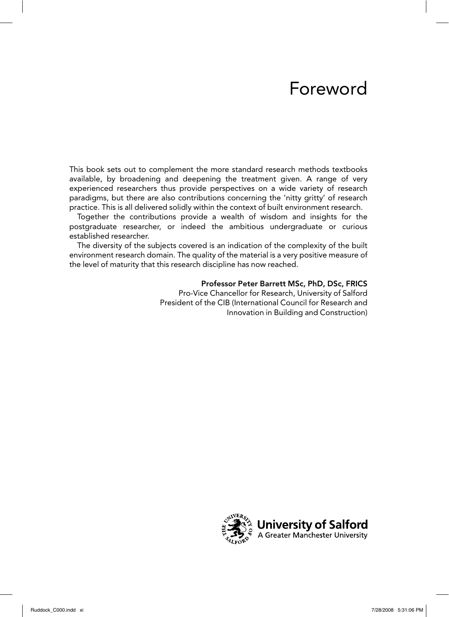# Foreword

This book sets out to complement the more standard research methods textbooks available, by broadening and deepening the treatment given. A range of very experienced researchers thus provide perspectives on a wide variety of research paradigms, but there are also contributions concerning the 'nitty gritty' of research practice. This is all delivered solidly within the context of built environment research.

Together the contributions provide a wealth of wisdom and insights for the postgraduate researcher, or indeed the ambitious undergraduate or curious established researcher.

The diversity of the subjects covered is an indication of the complexity of the built environment research domain. The quality of the material is a very positive measure of the level of maturity that this research discipline has now reached.

#### **Professor Peter Barrett MSc, PhD, DSc, FRICS**

Pro-Vice Chancellor for Research, University of Salford President of the CIB (International Council for Research and Innovation in Building and Construction)

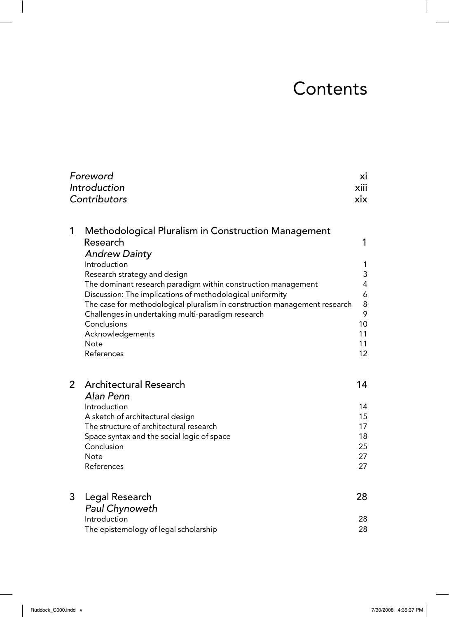# **Contents**

|                | Foreword<br>Introduction<br>xiii<br>Contributors<br>xix                                                                                       |              |
|----------------|-----------------------------------------------------------------------------------------------------------------------------------------------|--------------|
| 1              | Methodological Pluralism in Construction Management<br>Research<br><b>Andrew Dainty</b>                                                       | 1            |
|                | Introduction                                                                                                                                  | 1            |
|                | Research strategy and design                                                                                                                  | 3<br>4       |
|                | The dominant research paradigm within construction management<br>Discussion: The implications of methodological uniformity                    | 6            |
|                | The case for methodological pluralism in construction management research<br>Challenges in undertaking multi-paradigm research<br>Conclusions | 8<br>9<br>10 |
|                | Acknowledgements                                                                                                                              | 11           |
|                | Note<br>References                                                                                                                            | 11<br>12     |
| $\overline{2}$ | <b>Architectural Research</b><br>Alan Penn                                                                                                    | 14           |
|                | Introduction                                                                                                                                  | 14           |
|                | A sketch of architectural design                                                                                                              | 15           |
|                | The structure of architectural research                                                                                                       | 17           |
|                | Space syntax and the social logic of space                                                                                                    | 18           |
|                | Conclusion<br><b>Note</b>                                                                                                                     | 25<br>27     |
|                | References                                                                                                                                    | 27           |
| 3              | Legal Research                                                                                                                                | 28           |
|                | Paul Chynoweth                                                                                                                                |              |
|                | Introduction<br>The epistemology of legal scholarship                                                                                         | 28<br>28     |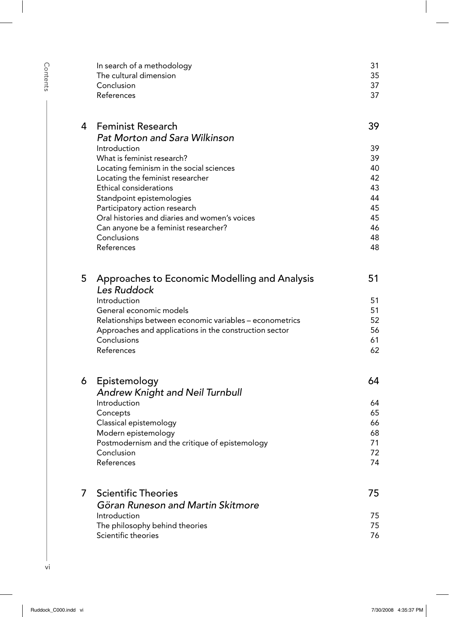|   | In search of a methodology<br>The cultural dimension<br>Conclusion<br>References | 31<br>35<br>37<br>37 |
|---|----------------------------------------------------------------------------------|----------------------|
| 4 | <b>Feminist Research</b><br><b>Pat Morton and Sara Wilkinson</b>                 | 39                   |
|   | Introduction                                                                     | 39                   |
|   | What is feminist research?                                                       | 39                   |
|   | Locating feminism in the social sciences                                         | 40                   |
|   | Locating the feminist researcher<br>Ethical considerations                       | 42<br>43             |
|   | Standpoint epistemologies                                                        | 44                   |
|   | Participatory action research                                                    | 45                   |
|   | Oral histories and diaries and women's voices                                    | 45                   |
|   | Can anyone be a feminist researcher?                                             | 46                   |
|   | Conclusions                                                                      | 48                   |
|   | References                                                                       | 48                   |
| 5 | Approaches to Economic Modelling and Analysis<br>Les Ruddock                     | 51                   |
|   | Introduction                                                                     | 51                   |
|   | General economic models                                                          | 51                   |
|   | Relationships between economic variables - econometrics                          | 52                   |
|   | Approaches and applications in the construction sector                           | 56                   |
|   | Conclusions                                                                      | 61                   |
|   | References                                                                       | 62                   |
| 6 | Epistemology                                                                     | 64                   |
|   | <b>Andrew Knight and Neil Turnbull</b>                                           |                      |
|   | Introduction                                                                     | 64                   |
|   | Concepts                                                                         | 65                   |
|   | Classical epistemology                                                           | 66                   |
|   | Modern epistemology                                                              | 68                   |
|   | Postmodernism and the critique of epistemology                                   | 71                   |
|   | Conclusion                                                                       | 72                   |
|   | References                                                                       | 74                   |
| 7 | <b>Scientific Theories</b>                                                       | 75                   |
|   | Göran Runeson and Martin Skitmore                                                |                      |
|   | Introduction                                                                     | 75                   |
|   | The philosophy behind theories                                                   | 75                   |
|   | Scientific theories                                                              | 76                   |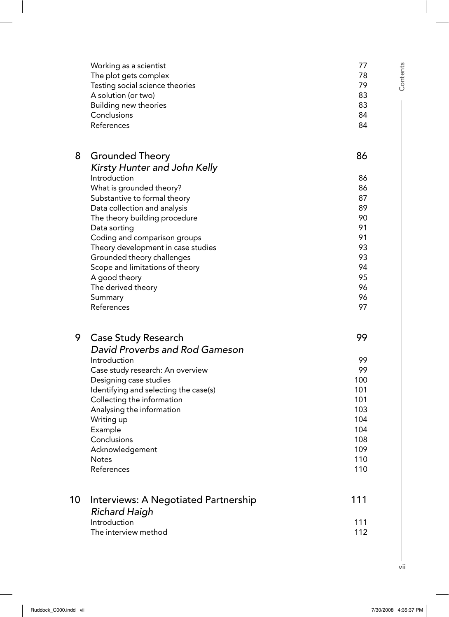|    | Working as a scientist<br>The plot gets complex<br>Testing social science theories<br>A solution (or two)<br>Building new theories<br>Conclusions<br>References                                                                                                                                                                                                                                                            | 77<br>78<br>79<br>83<br>83<br>84<br>84                                                 |
|----|----------------------------------------------------------------------------------------------------------------------------------------------------------------------------------------------------------------------------------------------------------------------------------------------------------------------------------------------------------------------------------------------------------------------------|----------------------------------------------------------------------------------------|
| 8  | <b>Grounded Theory</b><br>Kirsty Hunter and John Kelly<br>Introduction<br>What is grounded theory?<br>Substantive to formal theory<br>Data collection and analysis<br>The theory building procedure<br>Data sorting<br>Coding and comparison groups<br>Theory development in case studies<br>Grounded theory challenges<br>Scope and limitations of theory<br>A good theory<br>The derived theory<br>Summary<br>References | 86<br>86<br>86<br>87<br>89<br>90<br>91<br>91<br>93<br>93<br>94<br>95<br>96<br>96<br>97 |
| 9  | <b>Case Study Research</b><br>David Proverbs and Rod Gameson<br>Introduction<br>Case study research: An overview<br>Designing case studies<br>Identifying and selecting the case(s)<br>Collecting the information<br>Analysing the information<br>Writing up<br>Example<br>Conclusions<br>Acknowledgement<br><b>Notes</b><br>References                                                                                    | 99<br>99<br>99<br>100<br>101<br>101<br>103<br>104<br>104<br>108<br>109<br>110<br>110   |
| 10 | Interviews: A Negotiated Partnership<br><b>Richard Haigh</b><br>Introduction<br>The interview method                                                                                                                                                                                                                                                                                                                       | 111<br>111<br>112                                                                      |
|    |                                                                                                                                                                                                                                                                                                                                                                                                                            |                                                                                        |

Contents **Contents**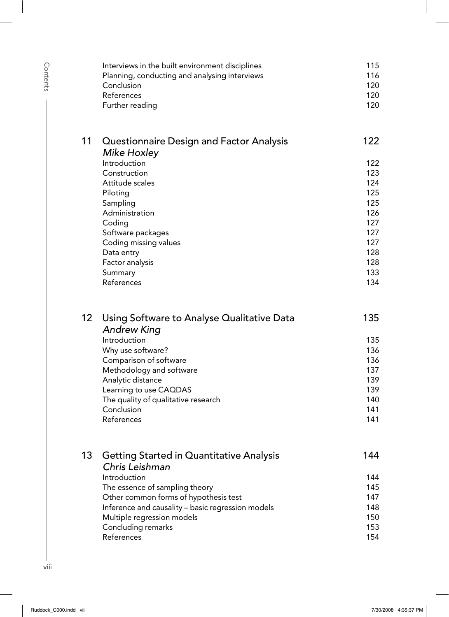|                 | Interviews in the built environment disciplines<br>Planning, conducting and analysing interviews<br>Conclusion<br>References<br>Further reading                                                                                                                                     | 115<br>116<br>120<br>120<br>120                                                                |
|-----------------|-------------------------------------------------------------------------------------------------------------------------------------------------------------------------------------------------------------------------------------------------------------------------------------|------------------------------------------------------------------------------------------------|
| 11              | Questionnaire Design and Factor Analysis<br>Mike Hoxley<br>Introduction<br>Construction<br>Attitude scales<br>Piloting<br>Sampling<br>Administration<br>Coding<br>Software packages<br>Coding missing values<br>Data entry<br>Factor analysis<br>Summary<br>References              | 122<br>122<br>123<br>124<br>125<br>125<br>126<br>127<br>127<br>127<br>128<br>128<br>133<br>134 |
| 12 <sup>°</sup> | Using Software to Analyse Qualitative Data<br><b>Andrew King</b><br>Introduction<br>Why use software?<br>Comparison of software<br>Methodology and software<br>Analytic distance<br>Learning to use CAQDAS<br>The quality of qualitative research<br>Conclusion<br>References       | 135<br>135<br>136<br>136<br>137<br>139<br>139<br>140<br>141<br>141                             |
| 13              | <b>Getting Started in Quantitative Analysis</b><br>Chris Leishman<br>Introduction<br>The essence of sampling theory<br>Other common forms of hypothesis test<br>Inference and causality - basic regression models<br>Multiple regression models<br>Concluding remarks<br>References | 144<br>144<br>145<br>147<br>148<br>150<br>153<br>154                                           |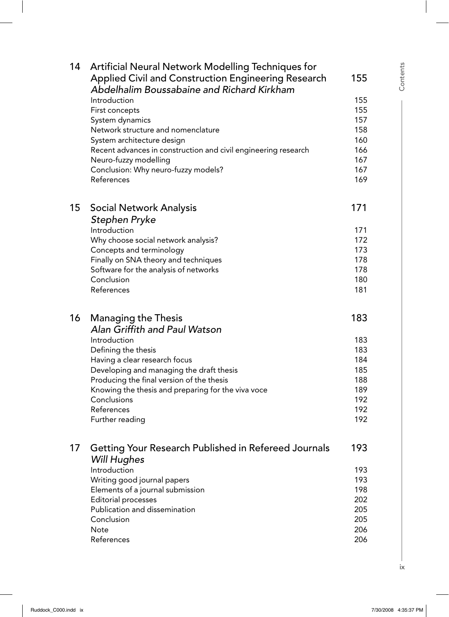| 14 | Artificial Neural Network Modelling Techniques for<br>Applied Civil and Construction Engineering Research<br>Abdelhalim Boussabaine and Richard Kirkham | 155               |
|----|---------------------------------------------------------------------------------------------------------------------------------------------------------|-------------------|
|    | Introduction<br>First concepts<br>System dynamics                                                                                                       | 155<br>155<br>157 |
|    | Network structure and nomenclature                                                                                                                      | 158               |
|    | System architecture design<br>Recent advances in construction and civil engineering research                                                            | 160<br>166        |
|    | Neuro-fuzzy modelling                                                                                                                                   | 167               |
|    | Conclusion: Why neuro-fuzzy models?                                                                                                                     | 167               |
|    | References                                                                                                                                              | 169               |
| 15 | Social Network Analysis                                                                                                                                 | 171               |
|    | <b>Stephen Pryke</b>                                                                                                                                    |                   |
|    | Introduction                                                                                                                                            | 171               |
|    | Why choose social network analysis?<br>Concepts and terminology                                                                                         | 172<br>173        |
|    | Finally on SNA theory and techniques                                                                                                                    | 178               |
|    | Software for the analysis of networks                                                                                                                   | 178               |
|    | Conclusion                                                                                                                                              | 180               |
|    | References                                                                                                                                              | 181               |
| 16 | <b>Managing the Thesis</b>                                                                                                                              | 183               |
|    | Alan Griffith and Paul Watson                                                                                                                           |                   |
|    | Introduction                                                                                                                                            | 183               |
|    | Defining the thesis<br>Having a clear research focus                                                                                                    | 183<br>184        |
|    | Developing and managing the draft thesis                                                                                                                | 185               |
|    | Producing the final version of the thesis                                                                                                               | 188               |
|    | Knowing the thesis and preparing for the viva voce                                                                                                      | 189               |
|    | Conclusions                                                                                                                                             | 192               |
|    | References<br>Further reading                                                                                                                           | 192<br>192        |
|    |                                                                                                                                                         |                   |
| 17 | Getting Your Research Published in Refereed Journals<br><b>Will Hughes</b>                                                                              | 193               |
|    | Introduction                                                                                                                                            | 193               |
|    | Writing good journal papers                                                                                                                             | 193               |
|    | Elements of a journal submission                                                                                                                        | 198               |
|    | Editorial processes<br>Publication and dissemination                                                                                                    | 202<br>205        |
|    | Conclusion                                                                                                                                              | 205               |
|    | <b>Note</b>                                                                                                                                             | 206               |
|    | References                                                                                                                                              | 206               |